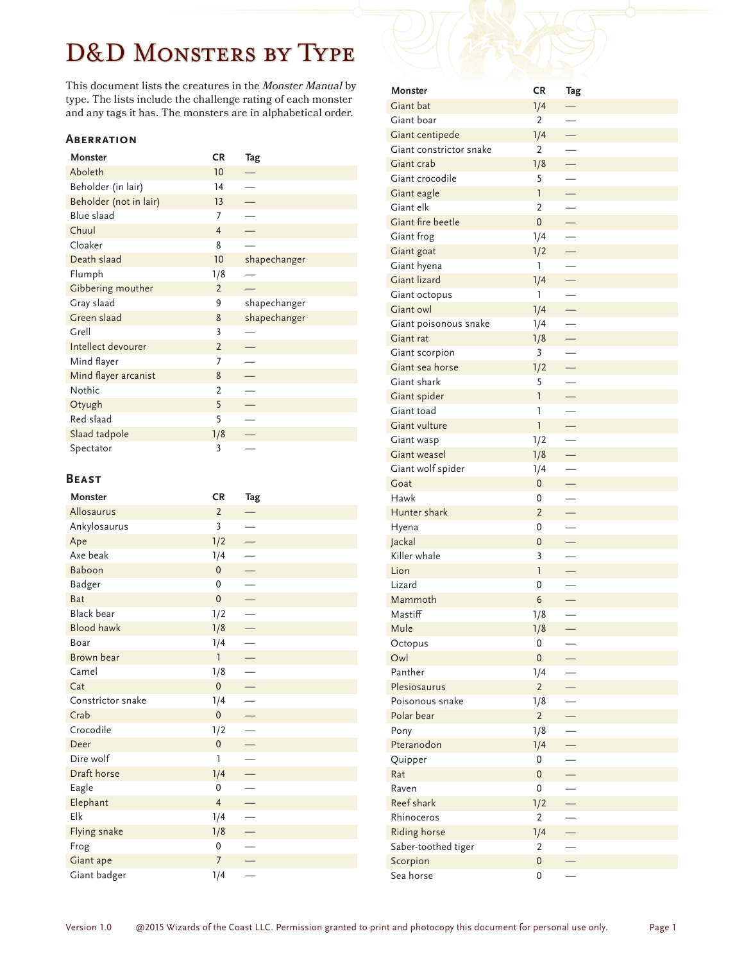# D&D Monsters by Type

This document lists the creatures in the *Monster Manual* by type. The lists include the challenge rating of each monster and any tags it has. The monsters are in alphabetical order.

#### **Aberration**

| <b>Monster</b>         | <b>CR</b>      | Tag          |
|------------------------|----------------|--------------|
| Aboleth                | 10             |              |
| Beholder (in lair)     | 14             |              |
| Beholder (not in lair) | 13             |              |
| <b>Blue slaad</b>      | 7              |              |
| Chuul                  | $\overline{4}$ |              |
| Cloaker                | 8              |              |
| Death slaad            | 10             | shapechanger |
| Flumph                 | 1/8            |              |
| Gibbering mouther      | $\overline{2}$ |              |
| Gray slaad             | 9              | shapechanger |
| Green slaad            | 8              | shapechanger |
| Grell                  | 3              |              |
| Intellect devourer     | $\overline{2}$ |              |
| Mind flayer            | 7              |              |
| Mind flayer arcanist   | 8              |              |
| Nothic                 | $\overline{2}$ |              |
| Otyugh                 | 5              |              |
| Red slaad              | 5              |              |
| Slaad tadpole          | 1/8            |              |
| Spectator              | 3              |              |

#### **Beast**

| Monster           | <b>CR</b>      | Tag |
|-------------------|----------------|-----|
| Allosaurus        | $\overline{2}$ |     |
| Ankylosaurus      | 3              |     |
| Ape               | 1/2            |     |
| Axe beak          | 1/4            |     |
| Baboon            | $\overline{0}$ |     |
| <b>Badger</b>     | $\mathbf{0}$   |     |
| <b>Bat</b>        | $\overline{0}$ |     |
| <b>Black bear</b> | 1/2            |     |
| <b>Blood hawk</b> | 1/8            |     |
| Boar              | 1/4            |     |
| Brown bear        | $\overline{1}$ |     |
| Camel             | 1/8            |     |
| Cat               | $\overline{0}$ |     |
| Constrictor snake | 1/4            |     |
| Crab              | $\overline{0}$ |     |
| Crocodile         | 1/2            |     |
| Deer              | $\mathbf{0}$   |     |
| Dire wolf         | 1              |     |
| Draft horse       | 1/4            |     |
| Eagle             | 0              |     |
| Elephant          | $\overline{4}$ |     |
| Elk               | 1/4            |     |
| Flying snake      | 1/8            |     |
| Frog              | $\mathbf 0$    |     |
| Giant ape         | $\overline{7}$ |     |
| Giant badger      | 1/4            |     |

| Monster                 | CR               | Tag                      |
|-------------------------|------------------|--------------------------|
| Giant bat               | 1/4              |                          |
| Giant boar              | 2                | $\overline{\phantom{0}}$ |
| Giant centipede         | 1/4              |                          |
| Giant constrictor snake | 2                |                          |
| Giant crab              | 1/8              | $\overline{\phantom{0}}$ |
| Giant crocodile         | 5                |                          |
| Giant eagle             | 1                | $\equiv$                 |
| Giant elk               | 2                |                          |
| Giant fire beetle       | $\mathbf{0}$     | $\overline{\phantom{0}}$ |
| Giant frog              | 1/4              | $\overline{\phantom{0}}$ |
| Giant goat              | 1/2              | $\overline{\phantom{0}}$ |
| Giant hyena             | 1                |                          |
| Giant lizard            | 1/4              | $\equiv$                 |
| Giant octopus           | 1                |                          |
| Giant owl               | 1/4              | $\equiv$                 |
| Giant poisonous snake   | 1/4              |                          |
| Giant rat               | 1/8              | $\overline{\phantom{0}}$ |
| Giant scorpion          | 3                |                          |
| Giant sea horse         | 1/2              | $\overline{\phantom{0}}$ |
| Giant shark             | 5                |                          |
| Giant spider            | 1                | $\overline{\phantom{0}}$ |
| Giant toad              | 1                |                          |
| <b>Giant vulture</b>    | 1                | Ξ                        |
| Giant wasp              | 1/2              |                          |
| Giant weasel            | 1/8              | $\equiv$                 |
| Giant wolf spider       | 1/4              | $\overline{\phantom{0}}$ |
| Goat                    | $\mathbf 0$      | Ξ                        |
| Hawk                    | 0                |                          |
| Hunter shark            | $\overline{2}$   |                          |
| Hyena                   | 0                | $\overline{\phantom{0}}$ |
| Jackal                  | $\boldsymbol{0}$ |                          |
| Killer whale            | 3                |                          |
| Lion                    | $\mathsf{I}$     |                          |
| Lizard                  | 0                |                          |
| Mammoth                 | 6                |                          |
| Mastiff                 | 1/8              |                          |
| Mule                    | 1/8              |                          |
| Octopus                 | 0                |                          |
| Owl                     | $\boldsymbol{0}$ |                          |
| Panther                 | 1/4              |                          |
| Plesiosaurus            | $\overline{2}$   |                          |
| Poisonous snake         | 1/8              |                          |
| Polar bear              | $\overline{2}$   |                          |
| Pony                    | 1/8              |                          |
| Pteranodon              | 1/4              |                          |
| Quipper                 | 0                |                          |
| Rat                     | $\pmb{0}$        |                          |
| Raven                   | $\boldsymbol{0}$ |                          |
| Reef shark              | 1/2              |                          |
| Rhinoceros              | $\overline{2}$   |                          |
| Riding horse            | 1/4              |                          |
| Saber-toothed tiger     | $\overline{2}$   |                          |
| Scorpion                | $\boldsymbol{0}$ |                          |
| Sea horse               | $\mathbf 0$      |                          |
|                         |                  |                          |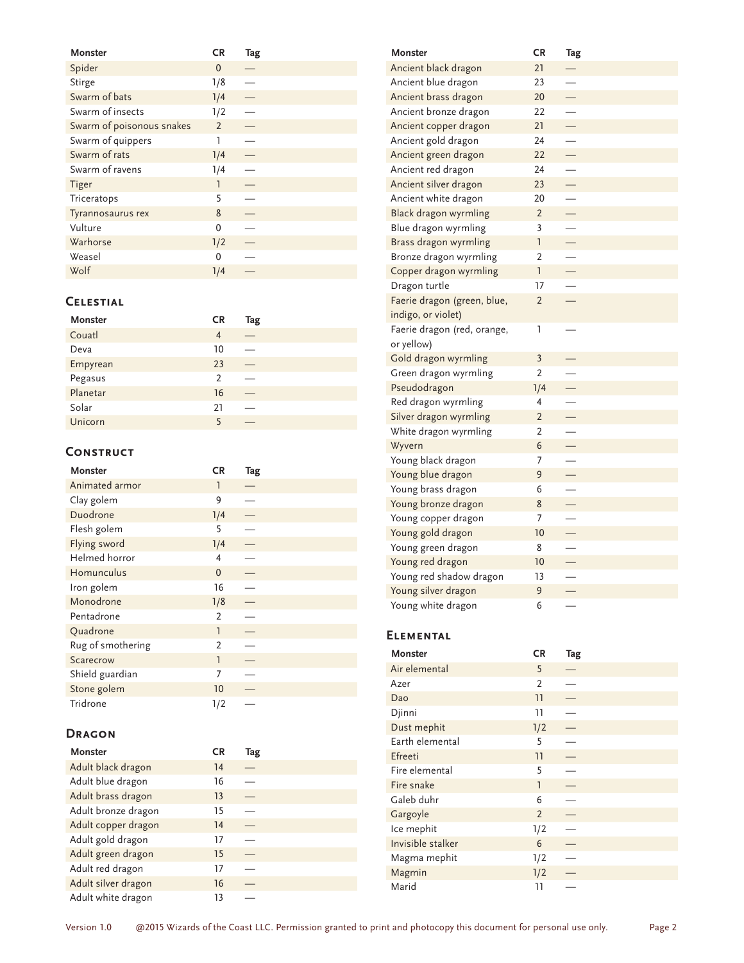| <b>Monster</b>            | <b>CR</b>      | Tag |
|---------------------------|----------------|-----|
| Spider                    | $\Omega$       |     |
| Stirge                    | 1/8            |     |
| Swarm of bats             | 1/4            |     |
| Swarm of insects          | 1/2            |     |
| Swarm of poisonous snakes | $\overline{2}$ |     |
| Swarm of quippers         | 1              |     |
| Swarm of rats             | 1/4            |     |
| Swarm of ravens           | 1/4            |     |
| <b>Tiger</b>              | 1              |     |
| Triceratops               | 5              |     |
| Tyrannosaurus rex         | 8              |     |
| Vulture                   | $\Omega$       |     |
| Warhorse                  | 1/2            |     |
| Weasel                    | $\Omega$       |     |
| Wolf                      | 1/4            |     |

# **Celestial**

| <b>Monster</b> | <b>CR</b>      | Tag |
|----------------|----------------|-----|
| Couatl         | 4              |     |
| Deva           | 10             |     |
| Empyrean       | 23             |     |
| Pegasus        | $\overline{2}$ |     |
| Planetar       | 16             |     |
| Solar          | 21             |     |
| Unicorn        | 5              |     |

## **Construct**

| <b>Monster</b>    | CR            | Tag |
|-------------------|---------------|-----|
| Animated armor    | 1             |     |
| Clay golem        | 9             |     |
| Duodrone          | 1/4           |     |
| Flesh golem       | 5             |     |
| Flying sword      | 1/4           |     |
| Helmed horror     | 4             |     |
| Homunculus        | $\mathbf{0}$  |     |
| Iron golem        | 16            |     |
| Monodrone         | 1/8           |     |
| Pentadrone        | 2             |     |
| Quadrone          | 1             |     |
| Rug of smothering | $\mathcal{P}$ |     |
| Scarecrow         | 1             |     |
| Shield guardian   | 7             |     |
| Stone golem       | 10            |     |
| Tridrone          | 1/2           |     |

## **Dragon**

| Monster             | <b>CR</b> | Tag |
|---------------------|-----------|-----|
| Adult black dragon  | 14        |     |
| Adult blue dragon   | 16        |     |
| Adult brass dragon  | 13        |     |
| Adult bronze dragon | 15        |     |
| Adult copper dragon | 14        |     |
| Adult gold dragon   | 17        |     |
| Adult green dragon  | 15        |     |
| Adult red dragon    | 17        |     |
| Adult silver dragon | 16        |     |
| Adult white dragon  | 13        |     |

| <b>Monster</b>              | CR             | Tag                      |
|-----------------------------|----------------|--------------------------|
| Ancient black dragon        | 21             |                          |
| Ancient blue dragon         | 23             |                          |
| Ancient brass dragon        | 20             |                          |
| Ancient bronze dragon       | 22             |                          |
| Ancient copper dragon       | 21             |                          |
| Ancient gold dragon         | 24             |                          |
| Ancient green dragon        | 22             | L,                       |
| Ancient red dragon          | 24             | $\overline{\phantom{0}}$ |
| Ancient silver dragon       | 23             |                          |
| Ancient white dragon        | 20             | $\overline{\phantom{0}}$ |
| Black dragon wyrmling       | $\overline{2}$ | $\overline{\phantom{0}}$ |
| Blue dragon wyrmling        | 3              |                          |
| Brass dragon wyrmling       | <sup>1</sup>   |                          |
| Bronze dragon wyrmling      | $\overline{2}$ |                          |
| Copper dragon wyrmling      | 1              |                          |
| Dragon turtle               | 17             |                          |
| Faerie dragon (green, blue, | $\overline{2}$ | ÷,                       |
| indigo, or violet)          |                |                          |
| Faerie dragon (red, orange, | 1              |                          |
| or yellow)                  |                |                          |
| Gold dragon wyrmling        | $\overline{3}$ |                          |
| Green dragon wyrmling       | $\overline{2}$ |                          |
| Pseudodragon                | 1/4            |                          |
| Red dragon wyrmling         | 4              |                          |
| Silver dragon wyrmling      | $\overline{2}$ | Ξ                        |
| White dragon wyrmling       | $\overline{2}$ |                          |
| Wyvern                      | 6              |                          |
| Young black dragon          | 7              |                          |
| Young blue dragon           | 9              |                          |
| Young brass dragon          | 6              |                          |
| Young bronze dragon         | 8              |                          |
| Young copper dragon         | 7              | $\overline{\phantom{0}}$ |
| Young gold dragon           | 10             |                          |
| Young green dragon          | 8              |                          |
| Young red dragon            | 10             |                          |
| Young red shadow dragon     | 13             |                          |
| Young silver dragon         | 9              |                          |
| Young white dragon          | 6              |                          |

# **Elemental**

| <b>Monster</b>    | <b>CR</b>      | Tag |
|-------------------|----------------|-----|
| Air elemental     | 5              |     |
| Azer              | 2              |     |
| Dao               | 11             |     |
| Djinni            | 11             |     |
| Dust mephit       | 1/2            |     |
| Earth elemental   | 5              |     |
| Efreeti           | 11             |     |
| Fire elemental    | 5              |     |
| Fire snake        | $\mathbf{1}$   |     |
| Galeb duhr        | 6              |     |
| Gargoyle          | $\overline{2}$ |     |
| Ice mephit        | 1/2            |     |
| Invisible stalker | 6              |     |
| Magma mephit      | 1/2            |     |
| Magmin            | 1/2            |     |
| Marid             | 11             |     |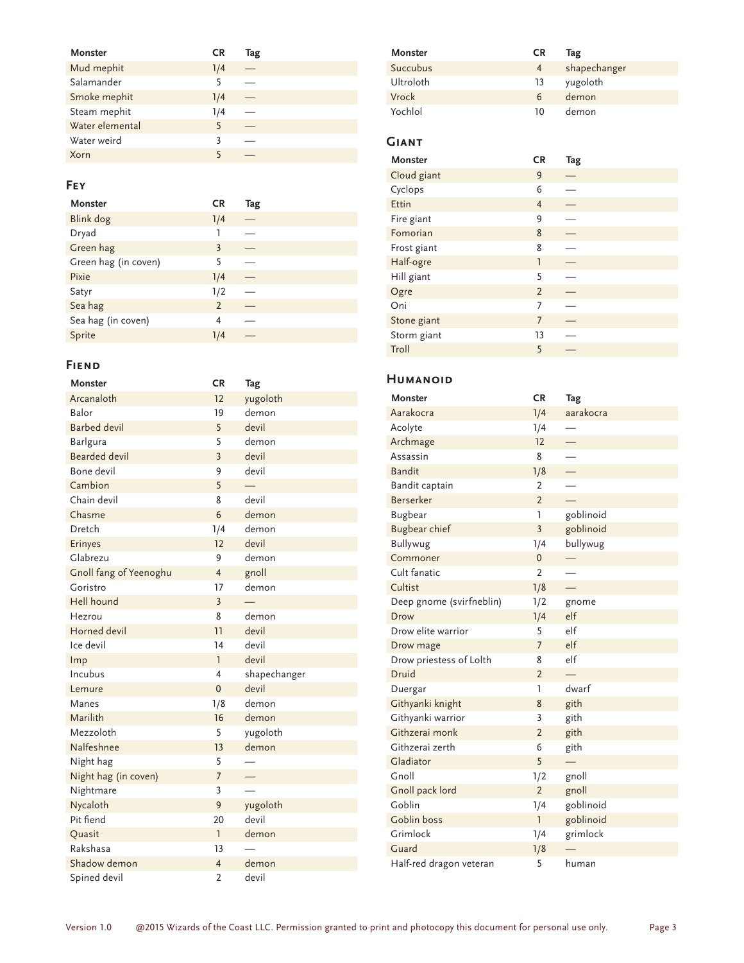| Monster         | <b>CR</b> | Tag |
|-----------------|-----------|-----|
| Mud mephit      | 1/4       |     |
| Salamander      | 5         |     |
| Smoke mephit    | 1/4       |     |
| Steam mephit    | 1/4       |     |
| Water elemental | 5         |     |
| Water weird     | 3         |     |
| Xorn            | 5         |     |

## **Fey**

| <b>Monster</b>       | <b>CR</b>      | Tag |
|----------------------|----------------|-----|
| Blink dog            | 1/4            |     |
| Dryad                | 1              |     |
| Green hag            | 3              |     |
| Green hag (in coven) | 5              |     |
| Pixie                | 1/4            |     |
| Satyr                | 1/2            |     |
| Sea hag              | $\overline{2}$ |     |
| Sea hag (in coven)   | 4              |     |
| Sprite               | 1/4            |     |

## **Fiend**

| <b>Monster</b>         | <b>CR</b>      | Tag          |
|------------------------|----------------|--------------|
| Arcanaloth             | 12             | yugoloth     |
| Balor                  | 19             | demon        |
| <b>Barbed devil</b>    | 5              | devil        |
| Barlgura               | 5              | demon        |
| <b>Bearded devil</b>   | $\overline{3}$ | devil        |
| Bone devil             | 9              | devil        |
| Cambion                | 5              |              |
| Chain devil            | 8              | devil        |
| Chasme                 | 6              | demon        |
| Dretch                 | 1/4            | demon        |
| Erinyes                | 12             | devil        |
| Glabrezu               | 9              | demon        |
| Gnoll fang of Yeenoghu | 4              | gnoll        |
| Goristro               | 17             | demon        |
| Hell hound             | $\overline{3}$ |              |
| Hezrou                 | 8              | demon        |
| Horned devil           | 11             | devil        |
| Ice devil              | 14             | devil        |
| Imp                    | ı              | devil        |
| Incubus                | 4              | shapechanger |
| Lemure                 | $\mathbf{0}$   | devil        |
| Manes                  | 1/8            | demon        |
| Marilith               | 16             | demon        |
| Mezzoloth              | 5              | yugoloth     |
| Nalfeshnee             | 13             | demon        |
| Night hag              | 5              |              |
| Night hag (in coven)   | $\overline{7}$ |              |
| Nightmare              | 3              |              |
| Nycaloth               | 9              | yugoloth     |
| Pit fiend              | 20             | devil        |
| Quasit                 | ı              | demon        |
| Rakshasa               | 13             |              |
| Shadow demon           | $\overline{4}$ | demon        |
| Spined devil           | $\overline{2}$ | devil        |

| Monster          | <b>CR</b> | Tag          |
|------------------|-----------|--------------|
| Succubus         | 4         | shapechanger |
| <b>Ultroloth</b> | 13        | yugoloth     |
| Vrock            | 6         | demon        |
| Yochlol          | 10        | demon        |

# **Giant**

| Monster     | <b>CR</b>      | Tag |
|-------------|----------------|-----|
| Cloud giant | 9              |     |
| Cyclops     | 6              |     |
| Ettin       | $\overline{4}$ |     |
| Fire giant  | 9              |     |
| Fomorian    | 8              |     |
| Frost giant | 8              |     |
| Half-ogre   | 1              |     |
| Hill giant  | 5              |     |
| Ogre        | $\overline{2}$ |     |
| Oni         | 7              |     |
| Stone giant | $\overline{7}$ |     |
| Storm giant | 13             |     |
| Troll       | 5              |     |

#### **Humanoid**

| <b>Monster</b>           | <b>CR</b>      | Tag       |
|--------------------------|----------------|-----------|
| Aarakocra                | 1/4            | aarakocra |
| Acolyte                  | 1/4            |           |
| Archmage                 | 12             |           |
| Assassin                 | 8              |           |
| <b>Bandit</b>            | 1/8            |           |
| Bandit captain           | $\overline{2}$ |           |
| <b>Berserker</b>         | $\overline{2}$ |           |
| <b>Bugbear</b>           | <sup>1</sup>   | goblinoid |
| <b>Bugbear chief</b>     | $\overline{3}$ | goblinoid |
| <b>Bullywug</b>          | 1/4            | bullywug  |
| Commoner                 | $\overline{0}$ |           |
| Cult fanatic             | $\overline{2}$ |           |
| Cultist                  | 1/8            |           |
| Deep gnome (svirfneblin) | 1/2            | gnome     |
| Drow                     | 1/4            | elf       |
| Drow elite warrior       | 5              | e         |
| Drow mage                | $\overline{7}$ | elf       |
| Drow priestess of Lolth  | 8              | elf       |
| Druid                    | $\overline{2}$ |           |
| Duergar                  | 1              | dwarf     |
| Githyanki knight         | 8              | gith      |
| Githyanki warrior        | 3              | gith      |
| Githzerai monk           | $\overline{2}$ | gith      |
| Githzerai zerth          | 6              | gith      |
| Gladiator                | 5              |           |
| Gnoll                    | 1/2            | gnoll     |
| Gnoll pack lord          | $\overline{2}$ | gnoll     |
| Goblin                   | 1/4            | goblinoid |
| Goblin boss              | $\overline{1}$ | goblinoid |
| Grimlock                 | 1/4            | grimlock  |
| Guard                    | 1/8            |           |
| Half-red dragon veteran  | 5              | human     |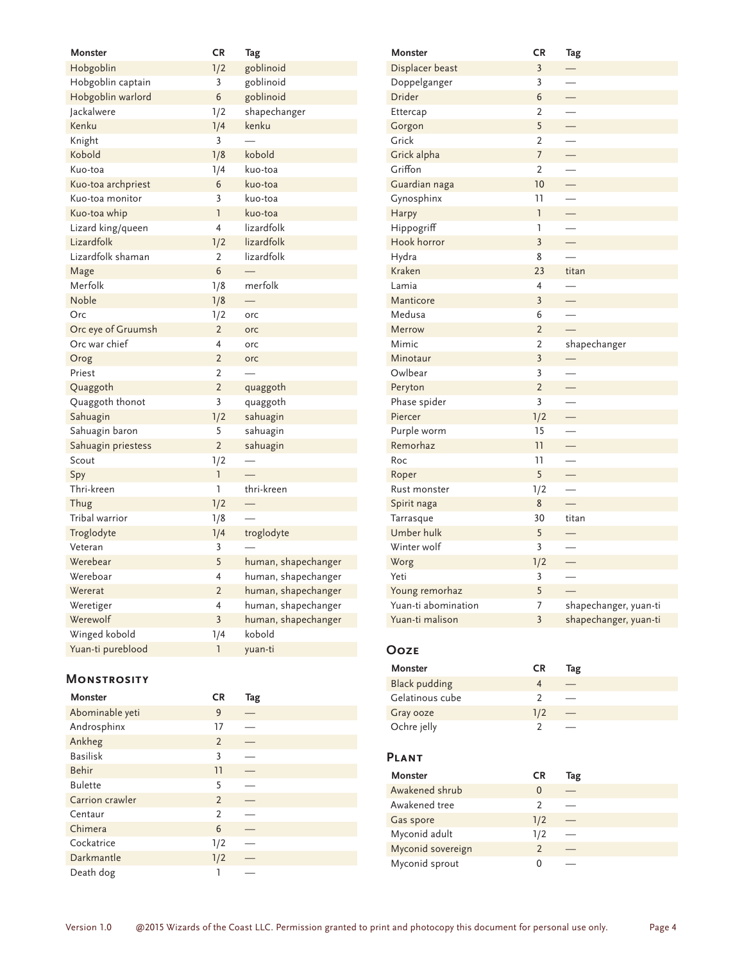| <b>Monster</b>     | <b>CR</b>      | Tag                 |
|--------------------|----------------|---------------------|
| Hobgoblin          | 1/2            | goblinoid           |
| Hobgoblin captain  | 3              | goblinoid           |
| Hobgoblin warlord  | 6              | goblinoid           |
| Jackalwere         | 1/2            | shapechanger        |
| Kenku              | 1/4            | kenku               |
| Knight             | 3              |                     |
| Kobold             | 1/8            | kobold              |
| Kuo-toa            | 1/4            | kuo-toa             |
| Kuo-toa archpriest | 6              | kuo-toa             |
| Kuo-toa monitor    | 3              | kuo-toa             |
| Kuo-toa whip       | 1              | kuo-toa             |
| Lizard king/queen  | 4              | lizardfolk          |
| Lizardfolk         | 1/2            | lizardfolk          |
| Lizardfolk shaman  | 2              | lizardfolk          |
| Mage               | 6              |                     |
| Merfolk            | 1/8            | merfolk             |
| Noble              | 1/8            |                     |
| Orc                | 1/2            | orc                 |
| Orc eye of Gruumsh | $\overline{2}$ | orc                 |
| Orc war chief      | 4              | orc                 |
| Orog               | $\overline{2}$ | orc                 |
| Priest             | $\overline{2}$ |                     |
| Quaggoth           | $\overline{2}$ | quaggoth            |
| Quaggoth thonot    | $\overline{3}$ | quaggoth            |
| Sahuagin           | 1/2            | sahuagin            |
| Sahuagin baron     | 5              | sahuagin            |
| Sahuagin priestess | $\overline{2}$ | sahuagin            |
| Scout              | 1/2            |                     |
| Spy                | 1              |                     |
| Thri-kreen         | 1              | thri-kreen          |
| Thug               | 1/2            |                     |
| Tribal warrior     | 1/8            |                     |
| Troglodyte         | 1/4            | troglodyte          |
| Veteran            | 3              |                     |
| Werebear           | 5              | human, shapechanger |
| Wereboar           | 4              | human, shapechanger |
| Wererat            | $\overline{2}$ | human, shapechanger |
| Weretiger          | 4              | human, shapechanger |
| Werewolf           | $\overline{3}$ | human, shapechanger |
| Winged kobold      | 1/4            | kobold              |
| Yuan-ti pureblood  | 1              | yuan-ti             |

| Monster             | CR                      | Tag                      |
|---------------------|-------------------------|--------------------------|
| Displacer beast     | $\overline{3}$          |                          |
| Doppelganger        | 3                       |                          |
| <b>Drider</b>       | 6                       | ÷,                       |
| Ettercap            | 2                       |                          |
| Gorgon              | 5                       | $\equiv$                 |
| Grick               | $\overline{2}$          |                          |
| Grick alpha         | $\overline{7}$          | $\equiv$                 |
| Griffon             | $\overline{2}$          |                          |
| Guardian naga       | 10                      | $\equiv$                 |
| Gynosphinx          | 11                      | $\overline{\phantom{0}}$ |
| Harpy               | 1                       | ÷,                       |
| Hippogriff          | 1                       |                          |
| Hook horror         | $\overline{\mathbf{3}}$ |                          |
| Hydra               | 8                       |                          |
| Kraken              | 23                      | titan                    |
| Lamia               | 4                       | $\overline{\phantom{0}}$ |
| Manticore           | 3                       | $\overline{\phantom{0}}$ |
| Medusa              | 6                       |                          |
| Merrow              | $\overline{2}$          |                          |
| <b>Mimic</b>        | 2                       | shapechanger             |
| Minotaur            | $\overline{3}$          |                          |
| Owlbear             | 3                       | $\overline{\phantom{0}}$ |
| Peryton             | $\overline{2}$          |                          |
| Phase spider        | 3                       |                          |
| Piercer             | 1/2                     | $\equiv$                 |
| Purple worm         | 15                      | $\overline{\phantom{0}}$ |
| Remorhaz            | 11                      | $\overline{\phantom{0}}$ |
| Roc                 | 11                      | $\overline{\phantom{0}}$ |
| Roper               | 5                       | $\equiv$                 |
| Rust monster        | 1/2                     |                          |
| Spirit naga         | 8                       | $\rightarrow$            |
| Tarrasque           | 30                      | titan                    |
| Umber hulk          | 5                       | —                        |
| Winter wolf         | 3                       |                          |
| Worg                | 1/2                     | $\equiv$                 |
| Yeti                | 3                       |                          |
| Young remorhaz      | 5                       |                          |
| Yuan-ti abomination | 7                       | shapechanger, yuan-ti    |
| Yuan-ti malison     | $\overline{3}$          | shapechanger, yuan-ti    |
|                     |                         |                          |

#### **Monstrosity**

| Monster         | <b>CR</b>      | Tag |
|-----------------|----------------|-----|
| Abominable yeti | 9              |     |
| Androsphinx     | 17             |     |
| Ankheg          | $\overline{2}$ |     |
| <b>Basilisk</b> | 3              |     |
| <b>Behir</b>    | 11             |     |
| <b>Bulette</b>  | 5              |     |
| Carrion crawler | 2              |     |
| Centaur         | $\overline{2}$ |     |
| Chimera         | 6              |     |
| Cockatrice      | 1/2            |     |
| Darkmantle      | 1/2            |     |
| Death dog       |                |     |

#### **Ooze**

| <b>Monster</b>       | <b>CR</b> | Tag                      |
|----------------------|-----------|--------------------------|
| <b>Black pudding</b> |           |                          |
| Gelatinous cube      |           | $\hspace{0.05cm}$        |
| Gray ooze            | 1/2       | $\overline{\phantom{m}}$ |
| Ochre jelly          |           |                          |

## **Plant**

| <b>Monster</b>    | <b>CR</b> | Tag |
|-------------------|-----------|-----|
| Awakened shrub    | $\Omega$  |     |
| Awakened tree     |           |     |
| Gas spore         | 1/2       |     |
| Myconid adult     | 1/2       |     |
| Myconid sovereign |           |     |
| Myconid sprout    | $\Omega$  |     |